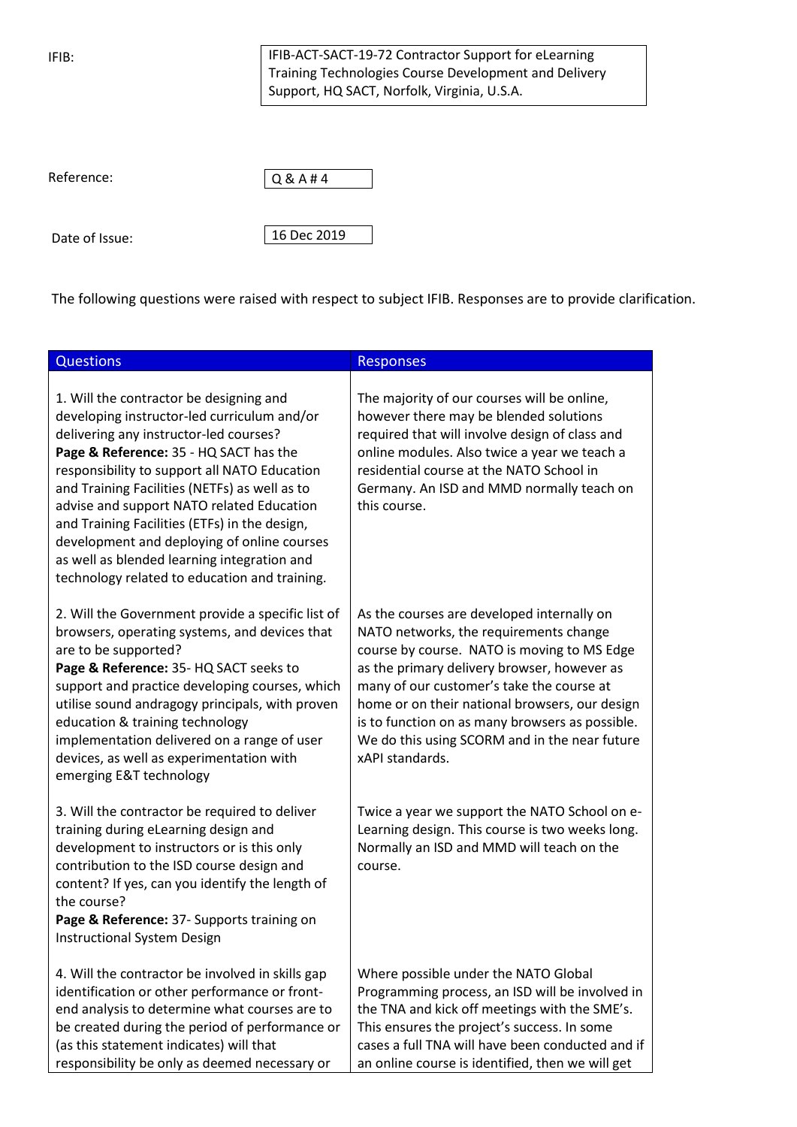IFIB:

Date of Issue:

IFIB-ACT-SACT-19-72 Contractor Support for eLearning Training Technologies Course Development and Delivery Support, HQ SACT, Norfolk, Virginia, U.S.A.

| Reference:     | Q & A # 4   |
|----------------|-------------|
|                |             |
|                |             |
| Date of Issue: | 16 Dec 2019 |

The following questions were raised with respect to subject IFIB. Responses are to provide clarification.

| <b>Questions</b>                                                                                                                                                                                                                                                                                                                                                                                                                                                                                                         | <b>Responses</b>                                                                                                                                                                                                                                                                                                                                                                                         |
|--------------------------------------------------------------------------------------------------------------------------------------------------------------------------------------------------------------------------------------------------------------------------------------------------------------------------------------------------------------------------------------------------------------------------------------------------------------------------------------------------------------------------|----------------------------------------------------------------------------------------------------------------------------------------------------------------------------------------------------------------------------------------------------------------------------------------------------------------------------------------------------------------------------------------------------------|
| 1. Will the contractor be designing and<br>developing instructor-led curriculum and/or<br>delivering any instructor-led courses?<br>Page & Reference: 35 - HQ SACT has the<br>responsibility to support all NATO Education<br>and Training Facilities (NETFs) as well as to<br>advise and support NATO related Education<br>and Training Facilities (ETFs) in the design,<br>development and deploying of online courses<br>as well as blended learning integration and<br>technology related to education and training. | The majority of our courses will be online,<br>however there may be blended solutions<br>required that will involve design of class and<br>online modules. Also twice a year we teach a<br>residential course at the NATO School in<br>Germany. An ISD and MMD normally teach on<br>this course.                                                                                                         |
| 2. Will the Government provide a specific list of<br>browsers, operating systems, and devices that<br>are to be supported?<br>Page & Reference: 35- HQ SACT seeks to<br>support and practice developing courses, which<br>utilise sound andragogy principals, with proven<br>education & training technology<br>implementation delivered on a range of user<br>devices, as well as experimentation with<br>emerging E&T technology                                                                                       | As the courses are developed internally on<br>NATO networks, the requirements change<br>course by course. NATO is moving to MS Edge<br>as the primary delivery browser, however as<br>many of our customer's take the course at<br>home or on their national browsers, our design<br>is to function on as many browsers as possible.<br>We do this using SCORM and in the near future<br>xAPI standards. |
| 3. Will the contractor be required to deliver<br>training during eLearning design and<br>development to instructors or is this only<br>contribution to the ISD course design and<br>content? If yes, can you identify the length of<br>the course?<br>Page & Reference: 37- Supports training on<br><b>Instructional System Design</b>                                                                                                                                                                                   | Twice a year we support the NATO School on e-<br>Learning design. This course is two weeks long.<br>Normally an ISD and MMD will teach on the<br>course.                                                                                                                                                                                                                                                 |
| 4. Will the contractor be involved in skills gap<br>identification or other performance or front-<br>end analysis to determine what courses are to<br>be created during the period of performance or<br>(as this statement indicates) will that<br>responsibility be only as deemed necessary or                                                                                                                                                                                                                         | Where possible under the NATO Global<br>Programming process, an ISD will be involved in<br>the TNA and kick off meetings with the SME's.<br>This ensures the project's success. In some<br>cases a full TNA will have been conducted and if<br>an online course is identified, then we will get                                                                                                          |